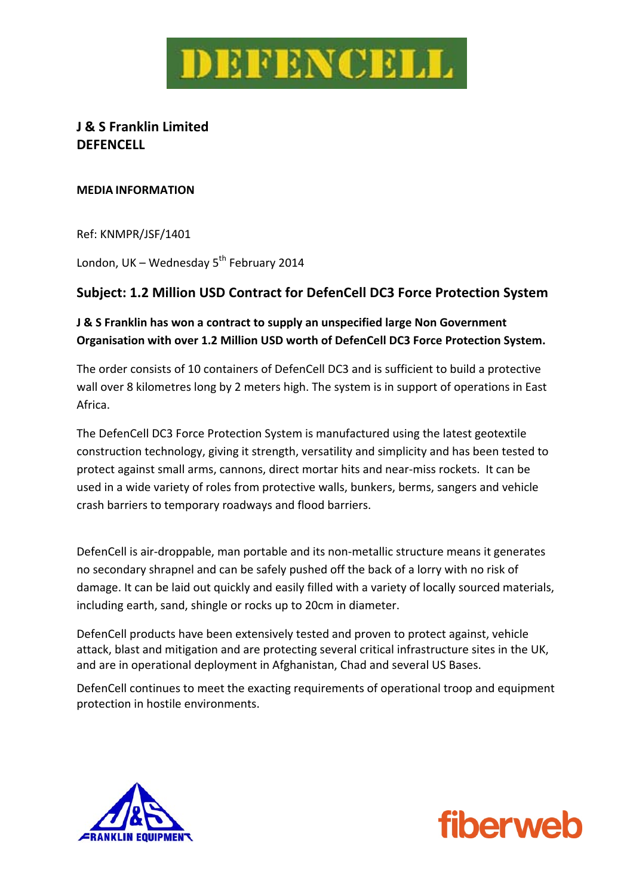

# **J & S Franklin Limited DEFENCELL**

#### **MEDIA INFORMATION**

Ref: KNMPR/JSF/1401

London, UK – Wednesday  $5^{th}$  February 2014

## **Subject: 1.2 Million USD Contract for DefenCell DC3 Force Protection System**

## **J & S Franklin has won a contract to supply an unspecified large Non Government Organisation with over 1.2 Million USD worth of DefenCell DC3 Force Protection System.**

The order consists of 10 containers of DefenCell DC3 and is sufficient to build a protective wall over 8 kilometres long by 2 meters high. The system is in support of operations in East Africa.

The DefenCell DC3 Force Protection System is manufactured using the latest geotextile construction technology, giving it strength, versatility and simplicity and has been tested to protect against small arms, cannons, direct mortar hits and near-miss rockets. It can be used in a wide variety of roles from protective walls, bunkers, berms, sangers and vehicle crash barriers to temporary roadways and flood barriers.

DefenCell is air‐droppable, man portable and its non‐metallic structure means it generates no secondary shrapnel and can be safely pushed off the back of a lorry with no risk of damage. It can be laid out quickly and easily filled with a variety of locally sourced materials, including earth, sand, shingle or rocks up to 20cm in diameter.

DefenCell products have been extensively tested and proven to protect against, vehicle attack, blast and mitigation and are protecting several critical infrastructure sites in the UK, and are in operational deployment in Afghanistan, Chad and several US Bases.

DefenCell continues to meet the exacting requirements of operational troop and equipment protection in hostile environments.



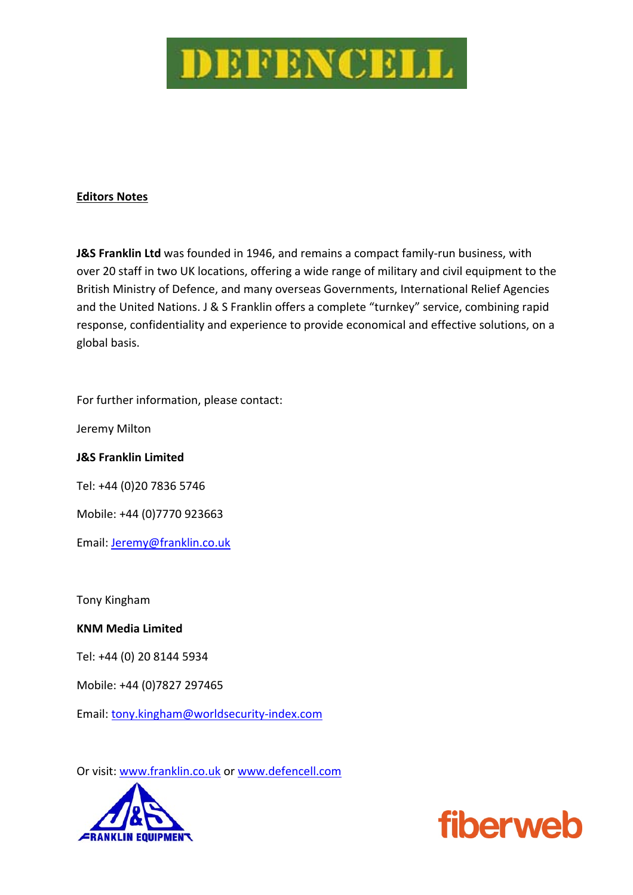

### **Editors Notes**

**J&S Franklin Ltd** was founded in 1946, and remains a compact family‐run business, with over 20 staff in two UK locations, offering a wide range of military and civil equipment to the British Ministry of Defence, and many overseas Governments, International Relief Agencies and the United Nations. J & S Franklin offers a complete "turnkey" service, combining rapid response, confidentiality and experience to provide economical and effective solutions, on a global basis.

For further information, please contact:

Jeremy Milton

#### **J&S Franklin Limited**

Tel: +44 (0)20 7836 5746

Mobile: +44 (0)7770 923663

Email: Jeremy@franklin.co.uk

Tony Kingham

**KNM Media Limited**

Tel: +44 (0) 20 8144 5934

Mobile: +44 (0)7827 297465

Email: tony.kingham@worldsecurity-index.com

Or visit: www.franklin.co.uk or www.defencell.com